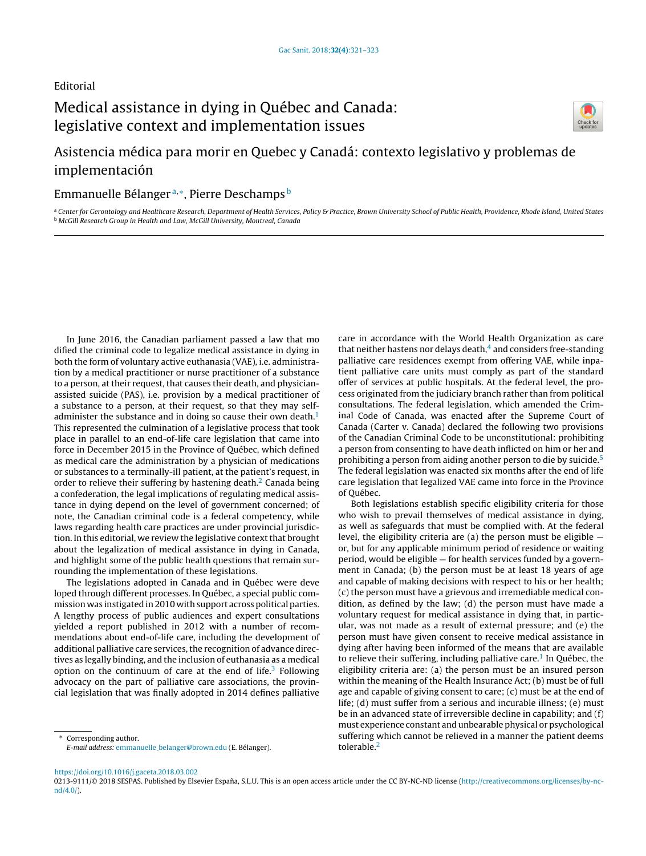### Editorial

# Medical assistance in dying in Québec and Canada: legislative context and implementation issues



## Asistencia médica para morir en Quebec y Canadá: contexto legislativo y problemas de implementación

### Emmanuelle Bélangerª,\*, Pierre Deschamps <sup>b</sup>

a Center for Gerontology and Healthcare Research, Department of Health Services, Policy & Practice, Brown University School of Public Health, Providence, Rhode Island, United States **b McGill Research Group in Health and Law, McGill University, Montreal, Canada** 

In June 2016, the Canadian parliament passed a law that mo dified the criminal code to legalize medical assistance in dying in both the form of voluntary active euthanasia (VAE), i.e. administration by a medical practitioner or nurse practitioner of a substance to a person, at their request, that causes their death, and physicianassisted suicide (PAS), i.e. provision by a medical practitioner of a substance to a person, at their request, so that they may self-administer the substance and in doing so cause their own death.<sup>[1](#page-1-0)</sup> This represented the culmination of a legislative process that took place in parallel to an end-of-life care legislation that came into force in December 2015 in the Province of Québec, which defined as medical care the administration by a physician of medications or substances to a terminally-ill patient, at the patient's request, in order to relieve their suffering by hastening death.<sup>[2](#page-1-0)</sup> Canada being a confederation, the legal implications of regulating medical assistance in dying depend on the level of government concerned; of note, the Canadian criminal code is a federal competency, while laws regarding health care practices are under provincial jurisdiction. In this editorial, we review the legislative context that brought about the legalization of medical assistance in dying in Canada, and highlight some of the public health questions that remain surrounding the implementation of these legislations.

The legislations adopted in Canada and in Québec were deve loped through different processes. In Québec, a special public commission was instigated in 2010 with support across political parties. A lengthy process of public audiences and expert consultations yielded a report published in 2012 with a number of recommendations about end-of-life care, including the development of additional palliative care services, the recognition of advance directives as legally binding, and the inclusion of euthanasia as a medical option on the continuum of care at the end of life.<sup>[3](#page-1-0)</sup> Following advocacy on the part of palliative care associations, the provincial legislation that was finally adopted in 2014 defines palliative

Corresponding author.

care in accordance with the World Health Organization as care that neither hastens nor delays death, $4$  and considers free-standing palliative care residences exempt from offering VAE, while inpatient palliative care units must comply as part of the standard offer of services at public hospitals. At the federal level, the process originated from the judiciary branch rather than from political consultations. The federal legislation, which amended the Criminal Code of Canada, was enacted after the Supreme Court of Canada (Carter v. Canada) declared the following two provisions of the Canadian Criminal Code to be unconstitutional: prohibiting a person from consenting to have death inflicted on him or her and prohibiting a person from aiding another person to die by suicide.<sup>[5](#page-1-0)</sup> The federal legislation was enacted six months after the end of life care legislation that legalized VAE came into force in the Province of Québec.

Both legislations establish specific eligibility criteria for those who wish to prevail themselves of medical assistance in dying, as well as safeguards that must be complied with. At the federal level, the eligibility criteria are (a) the person must be eligible or, but for any applicable minimum period of residence or waiting period, would be eligible — for health services funded by a government in Canada; (b) the person must be at least 18 years of age and capable of making decisions with respect to his or her health; (c) the person must have a grievous and irremediable medical condition, as defined by the law; (d) the person must have made a voluntary request for medical assistance in dying that, in particular, was not made as a result of external pressure; and (e) the person must have given consent to receive medical assistance in dying after having been informed of the means that are available to relieve their suffering, including palliative care.<sup>1</sup> [In](#page-1-0) Québec, the eligibility criteria are: (a) the person must be an insured person within the meaning of the Health Insurance Act; (b) must be of full age and capable of giving consent to care; (c) must be at the end of life; (d) must suffer from a serious and incurable illness; (e) must be in an advanced state of irreversible decline in capability; and (f) must experience constant and unbearable physical or psychological suffering which cannot be relieved in a manner the patient deems tolerable.[2](#page-1-0)

<https://doi.org/10.1016/j.gaceta.2018.03.002>

E-mail address: emmanuelle [belanger@brown.edu](mailto:emmanuelle_belanger@brown.edu) (E. Bélanger).

<sup>0213-9111/© 2018</sup> SESPAS. Published by Elsevier España, S.L.U. This is an open access article under the CC BY-NC-ND license [\(http://creativecommons.org/licenses/by-nc](http://creativecommons.org/licenses/by-nc-nd/4.0/)[nd/4.0/\)](http://creativecommons.org/licenses/by-nc-nd/4.0/).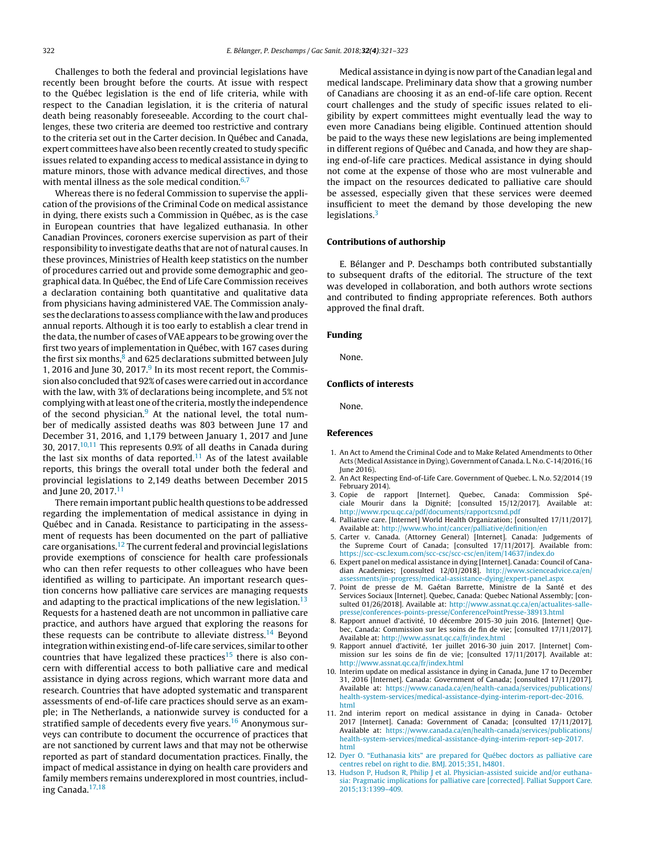<span id="page-1-0"></span>Challenges to both the federal and provincial legislations have recently been brought before the courts. At issue with respect to the Québec legislation is the end of life criteria, while with respect to the Canadian legislation, it is the criteria of natural death being reasonably foreseeable. According to the court challenges, these two criteria are deemed too restrictive and contrary to the criteria set out in the Carter decision. In Québec and Canada, expert committees have also been recently created to study specific issues related to expanding access to medical assistance in dying to mature minors, those with advance medical directives, and those with mental illness as the sole medical condition. $6,7$ 

Whereas there is no federal Commission to supervise the application of the provisions of the Criminal Code on medical assistance in dying, there exists such a Commission in Québec, as is the case in European countries that have legalized euthanasia. In other Canadian Provinces, coroners exercise supervision as part of their responsibility to investigate deaths that are not of natural causes. In these provinces, Ministries of Health keep statistics on the number of procedures carried out and provide some demographic and geographical data. In Québec, the End of Life Care Commission receives a declaration containing both quantitative and qualitative data from physicians having administered VAE. The Commission analyses the declarations to assess compliance with the law and produces annual reports. Although it is too early to establish a clear trend in the data, the number of cases of VAE appears to be growing over the first two years of implementation in Québec, with 167 cases during the first six months, $8$  and 625 declarations submitted between July 1, 2016 and June 30, 2017. $9$  In its most recent report, the Commission also concluded that 92%of cases were carried outin accordance with the law, with 3% of declarations being incomplete, and 5% not complying withatleast one ofthe criteria,mostly the independence of the second physician.<sup>9</sup> At the national level, the total number of medically assisted deaths was 803 between June 17 and December 31, 2016, and 1,179 between January 1, 2017 and June 30, 2017. $10,11$  This represents 0.9% of all deaths in Canada during the last six months of data reported.<sup>11</sup> As of the latest available reports, this brings the overall total under both the federal and provincial legislations to 2,149 deaths between December 2015 and June 20, 2017. $^{11}$ 

There remain important public health questions to be addressed regarding the implementation of medical assistance in dying in Québec and in Canada. Resistance to participating in the assessment of requests has been documented on the part of palliative care organisations.<sup>12</sup> The current federal and provincial legislations provide exemptions of conscience for health care professionals who can then refer requests to other colleagues who have been identified as willing to participate. An important research question concerns how palliative care services are managing requests and adapting to the practical implications of the new legislation. $13$ Requests for a hastened death are not uncommon in palliative care practice, and authors have argued that exploring the reasons for these requests can be contribute to alleviate distress.<sup>[14](#page-2-0)</sup> Beyond integration withinexisting end-of-life care services, similar to other countries that have legalized these practices<sup>[15](#page-2-0)</sup> there is also concern with differential access to both palliative care and medical assistance in dying across regions, which warrant more data and research. Countries that have adopted systematic and transparent assessments of end-of-life care practices should serve as an example; in The Netherlands, a nationwide survey is conducted for a stratified sample of decedents every five years.<sup>[16](#page-2-0)</sup> Anonymous surveys can contribute to document the occurrence of practices that are not sanctioned by current laws and that may not be otherwise reported as part of standard documentation practices. Finally, the impact of medical assistance in dying on health care providers and family members remains underexplored in most countries, including Canada.[17,18](#page-2-0)

Medical assistance in dying is now part of the Canadian legal and medical landscape. Preliminary data show that a growing number of Canadians are choosing it as an end-of-life care option. Recent court challenges and the study of specific issues related to eligibility by expert committees might eventually lead the way to even more Canadians being eligible. Continued attention should be paid to the ways these new legislations are being implemented in different regions of Québec and Canada, and how they are shaping end-of-life care practices. Medical assistance in dying should not come at the expense of those who are most vulnerable and the impact on the resources dedicated to palliative care should be assessed, especially given that these services were deemed insufficient to meet the demand by those developing the new legislations.<sup>3</sup>

#### Contributions of authorship

E. Bélanger and P. Deschamps both contributed substantially to subsequent drafts of the editorial. The structure of the text was developed in collaboration, and both authors wrote sections and contributed to finding appropriate references. Both authors approved the final draft.

#### Funding

None.

#### Conflicts of interests

None.

#### References

- 1. An Act to Amend the Criminal Code and to Make Related Amendments to Other Acts (Medical Assistance in Dying). Government of Canada. L. N.o. C-14/2016.(16 June 2016).
- 2. An Act Respecting End-of-Life Care. Government of Quebec. L. N.o. 52/2014 (19 February 2014).
- 3. Copie de rapport [Internet]. Quebec, Canada: Commission Spéciale Mourir dans la Dignité; [consulted 15/12/2017]. Available at: <http://www.rpcu.qc.ca/pdf/documents/rapportcsmd.pdf>
- 4. Palliative care. [Internet] World Health Organization; [consulted 17/11/2017]. Available at: <http://www.who.int/cancer/palliative/definition/en>
- 5. Carter v. Canada. (Attorney General) [Internet]. Canada: Judgements of the Supreme Court of Canada; [consulted 17/11/2017]. Available from: <https://scc-csc.lexum.com/scc-csc/scc-csc/en/item/14637/index.do>
- 6. Expert panel on medical assistance in dying [Internet]. Canada: Council of Canadian Academies; [consulted 12/01/2018]. [http://www.scienceadvice.ca/en/](http://www.scienceadvice.ca/en/assessments/in-progress/medical-assistance-dying/expert-panel.aspx) [assessments/in-progress/medical-assistance-dying/expert-panel.aspx](http://www.scienceadvice.ca/en/assessments/in-progress/medical-assistance-dying/expert-panel.aspx)
- 7. Point de presse de M. Gaétan Barrette, Ministre de la Santé et des Services Sociaux [Internet]. Quebec, Canada: Quebec National Assembly; [consulted 01/26/2018]. Available at: [http://www.assnat.qc.ca/en/actualites-salle](http://www.assnat.qc.ca/en/actualites-salle-presse/conferences-points-presse/ConferencePointPresse-38913.html)[presse/conferences-points-presse/ConferencePointPresse-38913.html](http://www.assnat.qc.ca/en/actualites-salle-presse/conferences-points-presse/ConferencePointPresse-38913.html)
- 8. Rapport annuel d'activité, 10 décembre 2015-30 juin 2016. [Internet] Quebec, Canada: Commission sur les soins de fin de vie; [consulted 17/11/2017]. Available at: <http://www.assnat.qc.ca/fr/index.html>
- 9. Rapport annuel d'activité, 1er juillet 2016-30 juin 2017. [Internet] Commission sur les soins de fin de vie; [consulted 17/11/2017]. Available at: <http://www.assnat.qc.ca/fr/index.html>
- 10. Interim update on medical assistance in dying in Canada, June 17 to December 31, 2016 [Internet]. Canada: Government of Canada; [consulted 17/11/2017]. Available at: [https://www.canada.ca/en/health-canada/services/publications/](https://www.canada.ca/en/health-canada/services/publications/health-system-services/medical-assistance-dying-interim-report-dec-2016.html) [health-system-services/medical-assistance-dying-interim-report-dec-2016.](https://www.canada.ca/en/health-canada/services/publications/health-system-services/medical-assistance-dying-interim-report-dec-2016.html) [html](https://www.canada.ca/en/health-canada/services/publications/health-system-services/medical-assistance-dying-interim-report-dec-2016.html)
- 11. 2nd interim report on medical assistance in dying in Canada- October 2017 [Internet]. Canada: Government of Canada; [consulted 17/11/2017]. Available at: [https://www.canada.ca/en/health-canada/services/publications/](https://www.canada.ca/en/health-canada/services/publications/health-system-services/medical-assistance-dying-interim-report-sep-2017.html) [health-system-services/medical-assistance-dying-interim-report-sep-2017.](https://www.canada.ca/en/health-canada/services/publications/health-system-services/medical-assistance-dying-interim-report-sep-2017.html) [html](https://www.canada.ca/en/health-canada/services/publications/health-system-services/medical-assistance-dying-interim-report-sep-2017.html)
- 12. [Dyer](http://refhub.elsevier.com/S0213-9111(18)30084-0/sbref0150) [O.](http://refhub.elsevier.com/S0213-9111(18)30084-0/sbref0150) ["Euthanasia](http://refhub.elsevier.com/S0213-9111(18)30084-0/sbref0150) [kits"](http://refhub.elsevier.com/S0213-9111(18)30084-0/sbref0150) [are](http://refhub.elsevier.com/S0213-9111(18)30084-0/sbref0150) [prepared](http://refhub.elsevier.com/S0213-9111(18)30084-0/sbref0150) [for](http://refhub.elsevier.com/S0213-9111(18)30084-0/sbref0150) [Québec](http://refhub.elsevier.com/S0213-9111(18)30084-0/sbref0150) [doctors](http://refhub.elsevier.com/S0213-9111(18)30084-0/sbref0150) [as](http://refhub.elsevier.com/S0213-9111(18)30084-0/sbref0150) [palliative](http://refhub.elsevier.com/S0213-9111(18)30084-0/sbref0150) [care](http://refhub.elsevier.com/S0213-9111(18)30084-0/sbref0150) [centres](http://refhub.elsevier.com/S0213-9111(18)30084-0/sbref0150) [rebel](http://refhub.elsevier.com/S0213-9111(18)30084-0/sbref0150) [on](http://refhub.elsevier.com/S0213-9111(18)30084-0/sbref0150) [right](http://refhub.elsevier.com/S0213-9111(18)30084-0/sbref0150) [to](http://refhub.elsevier.com/S0213-9111(18)30084-0/sbref0150) [die.](http://refhub.elsevier.com/S0213-9111(18)30084-0/sbref0150) [BMJ.](http://refhub.elsevier.com/S0213-9111(18)30084-0/sbref0150) [2015;351,](http://refhub.elsevier.com/S0213-9111(18)30084-0/sbref0150) [h4801.](http://refhub.elsevier.com/S0213-9111(18)30084-0/sbref0150)
- 13. [Hudson](http://refhub.elsevier.com/S0213-9111(18)30084-0/sbref0155) [P,](http://refhub.elsevier.com/S0213-9111(18)30084-0/sbref0155) [Hudson](http://refhub.elsevier.com/S0213-9111(18)30084-0/sbref0155) [R,](http://refhub.elsevier.com/S0213-9111(18)30084-0/sbref0155) [Philip](http://refhub.elsevier.com/S0213-9111(18)30084-0/sbref0155) [J](http://refhub.elsevier.com/S0213-9111(18)30084-0/sbref0155) [et](http://refhub.elsevier.com/S0213-9111(18)30084-0/sbref0155) [al.](http://refhub.elsevier.com/S0213-9111(18)30084-0/sbref0155) [Physician-assisted](http://refhub.elsevier.com/S0213-9111(18)30084-0/sbref0155) [suicide](http://refhub.elsevier.com/S0213-9111(18)30084-0/sbref0155) [and/or](http://refhub.elsevier.com/S0213-9111(18)30084-0/sbref0155) [euthana](http://refhub.elsevier.com/S0213-9111(18)30084-0/sbref0155)[sia:](http://refhub.elsevier.com/S0213-9111(18)30084-0/sbref0155) [Pragmatic](http://refhub.elsevier.com/S0213-9111(18)30084-0/sbref0155) [implications](http://refhub.elsevier.com/S0213-9111(18)30084-0/sbref0155) [for](http://refhub.elsevier.com/S0213-9111(18)30084-0/sbref0155) [palliative](http://refhub.elsevier.com/S0213-9111(18)30084-0/sbref0155) [care](http://refhub.elsevier.com/S0213-9111(18)30084-0/sbref0155) [\[corrected\].](http://refhub.elsevier.com/S0213-9111(18)30084-0/sbref0155) [Palliat](http://refhub.elsevier.com/S0213-9111(18)30084-0/sbref0155) [Support](http://refhub.elsevier.com/S0213-9111(18)30084-0/sbref0155) [Care.](http://refhub.elsevier.com/S0213-9111(18)30084-0/sbref0155) [2015;13:1399–409.](http://refhub.elsevier.com/S0213-9111(18)30084-0/sbref0155)